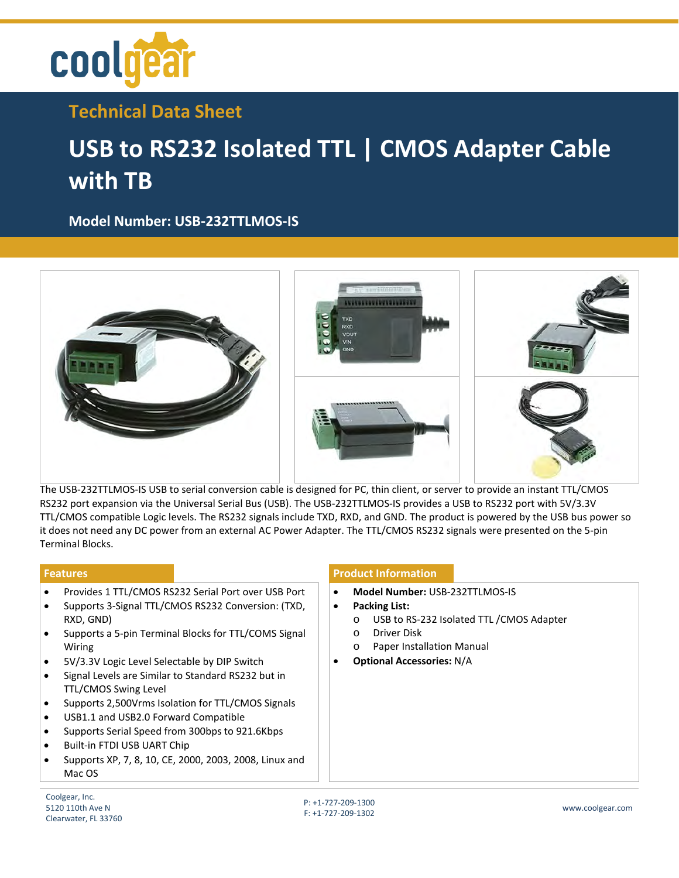

**Technical Data Sheet**

## **USB to RS232 Isolated TTL | CMOS Adapter Cable with TB**

**Model Number: [USB-232TTLMOS-IS](https://www.coolgear.com/product/usb-to-rs232-isolated-ttl-cmos-adapter-cable-with-tb)**



The USB-232TTLMOS-IS USB to serial conversion cable is designed for PC, thin client, or server to provide an instant TTL/CMOS RS232 port expansion via the Universal Serial Bus (USB). The USB-232TTLMOS-IS provides a USB to RS232 port with 5V/3.3V TTL/CMOS compatible Logic levels. The RS232 signals include TXD, RXD, and GND. The product is powered by the USB bus power so it does not need any DC power from an external AC Power Adapter. The TTL/CMOS RS232 signals were presented on the 5-pin Terminal Blocks.

- Provides 1 TTL/CMOS RS232 Serial Port over USB Port
- Supports 3-Signal TTL/CMOS RS232 Conversion: (TXD, RXD, GND)
- Supports a 5-pin Terminal Blocks for TTL/COMS Signal Wiring
- 5V/3.3V Logic Level Selectable by DIP Switch
- Signal Levels are Similar to Standard RS232 but in TTL/CMOS Swing Level
- Supports 2,500Vrms Isolation for TTL/CMOS Signals
- USB1.1 and USB2.0 Forward Compatible
- Supports Serial Speed from 300bps to 921.6Kbps
- Built-in FTDI USB UART Chip
- Supports XP, 7, 8, 10, CE, 2000, 2003, 2008, Linux and Mac OS

## **Features Product Information**

- **Model Number:** USB-232TTLMOS-IS
- **Packing List:** 
	- o USB to RS-232 Isolated TTL /CMOS Adapter
	- o Driver Disk
	- o Paper Installation Manual
- **Optional Accessories:** N/A

Coolgear, Inc. 5120 110th Ave N Clearwater, FL 33760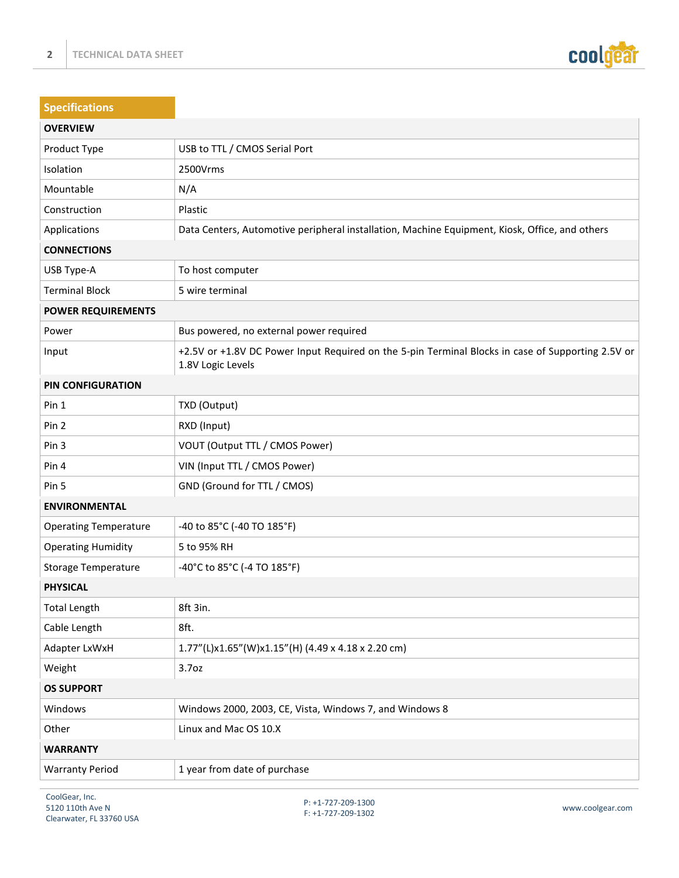

| <b>Specifications</b>        |                                                                                                                        |  |
|------------------------------|------------------------------------------------------------------------------------------------------------------------|--|
| <b>OVERVIEW</b>              |                                                                                                                        |  |
| Product Type                 | USB to TTL / CMOS Serial Port                                                                                          |  |
| Isolation                    | 2500Vrms                                                                                                               |  |
| Mountable                    | N/A                                                                                                                    |  |
| Construction                 | Plastic                                                                                                                |  |
| Applications                 | Data Centers, Automotive peripheral installation, Machine Equipment, Kiosk, Office, and others                         |  |
| <b>CONNECTIONS</b>           |                                                                                                                        |  |
| USB Type-A                   | To host computer                                                                                                       |  |
| <b>Terminal Block</b>        | 5 wire terminal                                                                                                        |  |
| <b>POWER REQUIREMENTS</b>    |                                                                                                                        |  |
| Power                        | Bus powered, no external power required                                                                                |  |
| Input                        | +2.5V or +1.8V DC Power Input Required on the 5-pin Terminal Blocks in case of Supporting 2.5V or<br>1.8V Logic Levels |  |
| <b>PIN CONFIGURATION</b>     |                                                                                                                        |  |
| Pin 1                        | TXD (Output)                                                                                                           |  |
| Pin 2                        | RXD (Input)                                                                                                            |  |
| Pin 3                        | VOUT (Output TTL / CMOS Power)                                                                                         |  |
| Pin 4                        | VIN (Input TTL / CMOS Power)                                                                                           |  |
| Pin 5                        | GND (Ground for TTL / CMOS)                                                                                            |  |
| <b>ENVIRONMENTAL</b>         |                                                                                                                        |  |
| <b>Operating Temperature</b> | -40 to 85°C (-40 TO 185°F)                                                                                             |  |
| <b>Operating Humidity</b>    | 5 to 95% RH                                                                                                            |  |
| <b>Storage Temperature</b>   | -40°C to 85°C (-4 TO 185°F)                                                                                            |  |
| <b>PHYSICAL</b>              |                                                                                                                        |  |
| <b>Total Length</b>          | 8ft 3in.                                                                                                               |  |
| Cable Length                 | 8ft.                                                                                                                   |  |
| Adapter LxWxH                | 1.77"(L)x1.65"(W)x1.15"(H) (4.49 x 4.18 x 2.20 cm)                                                                     |  |
| Weight                       | 3.7 <sub>oz</sub>                                                                                                      |  |
| <b>OS SUPPORT</b>            |                                                                                                                        |  |
| Windows                      | Windows 2000, 2003, CE, Vista, Windows 7, and Windows 8                                                                |  |
| Other                        | Linux and Mac OS 10.X                                                                                                  |  |
| <b>WARRANTY</b>              |                                                                                                                        |  |
| <b>Warranty Period</b>       | 1 year from date of purchase                                                                                           |  |